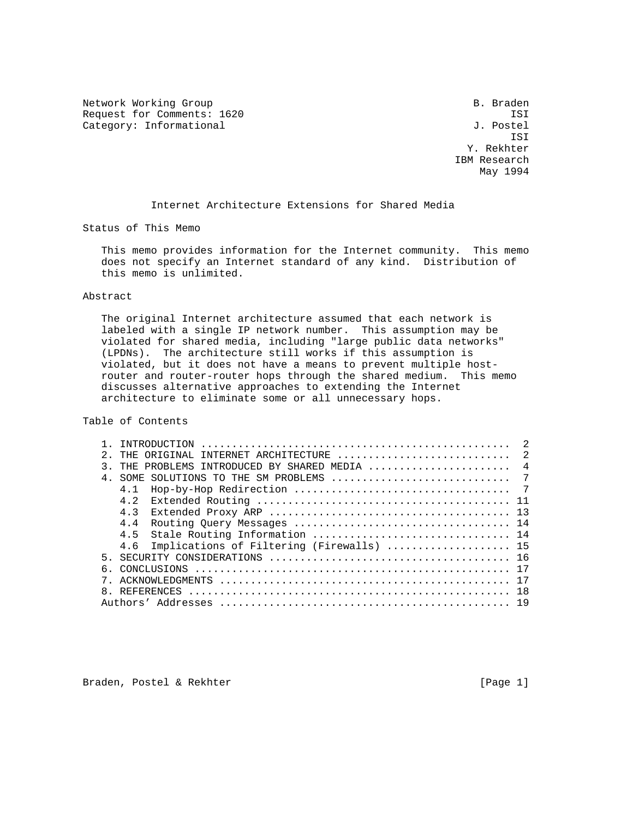Network Working Group and the set of the set of the set of the B. Braden Request for Comments: 1620 ISI IST<br>Category: Informational Gategory: Informational J. Postel Category: Informational

 ISI Y. Rekhter IBM Research May 1994

Internet Architecture Extensions for Shared Media

Status of This Memo

 This memo provides information for the Internet community. This memo does not specify an Internet standard of any kind. Distribution of this memo is unlimited.

## Abstract

 The original Internet architecture assumed that each network is labeled with a single IP network number. This assumption may be violated for shared media, including "large public data networks" (LPDNs). The architecture still works if this assumption is violated, but it does not have a means to prevent multiple host router and router-router hops through the shared medium. This memo discusses alternative approaches to extending the Internet architecture to eliminate some or all unnecessary hops.

Table of Contents

|   |                                               | $\overline{2}$ |
|---|-----------------------------------------------|----------------|
| 2 |                                               |                |
|   | THE PROBLEMS INTRODUCED BY SHARED MEDIA  4    |                |
|   |                                               |                |
|   | 4 1                                           |                |
|   | 4 2                                           |                |
|   | 43                                            |                |
|   | 4.4                                           |                |
|   | 4.5 Stale Routing Information  14             |                |
|   | 4.6 Implications of Filtering (Firewalls)  15 |                |
|   |                                               |                |
| 6 |                                               |                |
|   |                                               |                |
|   |                                               |                |
|   |                                               |                |

Braden, Postel & Rekhter (Page 1)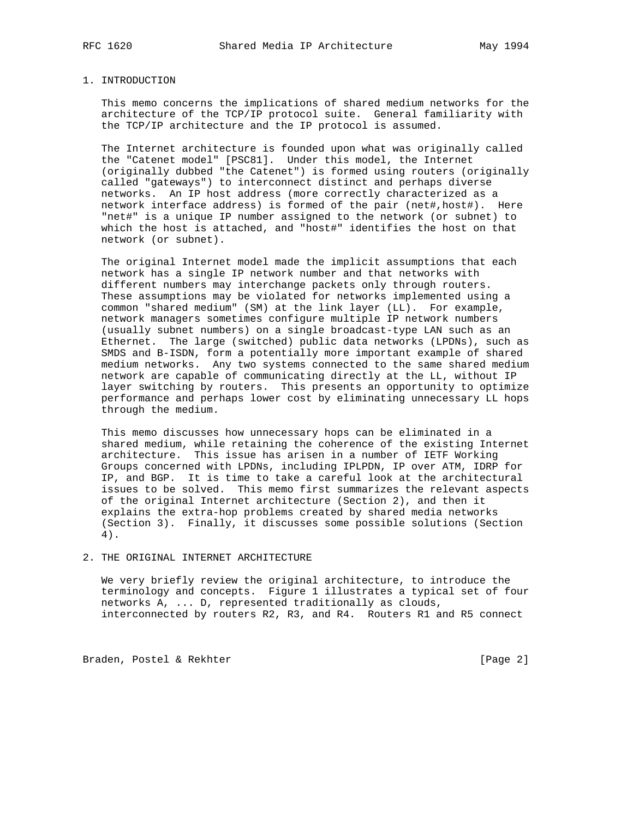#### 1. INTRODUCTION

 This memo concerns the implications of shared medium networks for the architecture of the TCP/IP protocol suite. General familiarity with the TCP/IP architecture and the IP protocol is assumed.

 The Internet architecture is founded upon what was originally called the "Catenet model" [PSC81]. Under this model, the Internet (originally dubbed "the Catenet") is formed using routers (originally called "gateways") to interconnect distinct and perhaps diverse networks. An IP host address (more correctly characterized as a network interface address) is formed of the pair (net#,host#). Here "net#" is a unique IP number assigned to the network (or subnet) to which the host is attached, and "host#" identifies the host on that network (or subnet).

 The original Internet model made the implicit assumptions that each network has a single IP network number and that networks with different numbers may interchange packets only through routers. These assumptions may be violated for networks implemented using a common "shared medium" (SM) at the link layer (LL). For example, network managers sometimes configure multiple IP network numbers (usually subnet numbers) on a single broadcast-type LAN such as an Ethernet. The large (switched) public data networks (LPDNs), such as SMDS and B-ISDN, form a potentially more important example of shared medium networks. Any two systems connected to the same shared medium network are capable of communicating directly at the LL, without IP layer switching by routers. This presents an opportunity to optimize performance and perhaps lower cost by eliminating unnecessary LL hops through the medium.

 This memo discusses how unnecessary hops can be eliminated in a shared medium, while retaining the coherence of the existing Internet architecture. This issue has arisen in a number of IETF Working Groups concerned with LPDNs, including IPLPDN, IP over ATM, IDRP for IP, and BGP. It is time to take a careful look at the architectural issues to be solved. This memo first summarizes the relevant aspects of the original Internet architecture (Section 2), and then it explains the extra-hop problems created by shared media networks (Section 3). Finally, it discusses some possible solutions (Section 4).

# 2. THE ORIGINAL INTERNET ARCHITECTURE

 We very briefly review the original architecture, to introduce the terminology and concepts. Figure 1 illustrates a typical set of four networks A, ... D, represented traditionally as clouds, interconnected by routers R2, R3, and R4. Routers R1 and R5 connect

Braden, Postel & Rekhter [Page 2]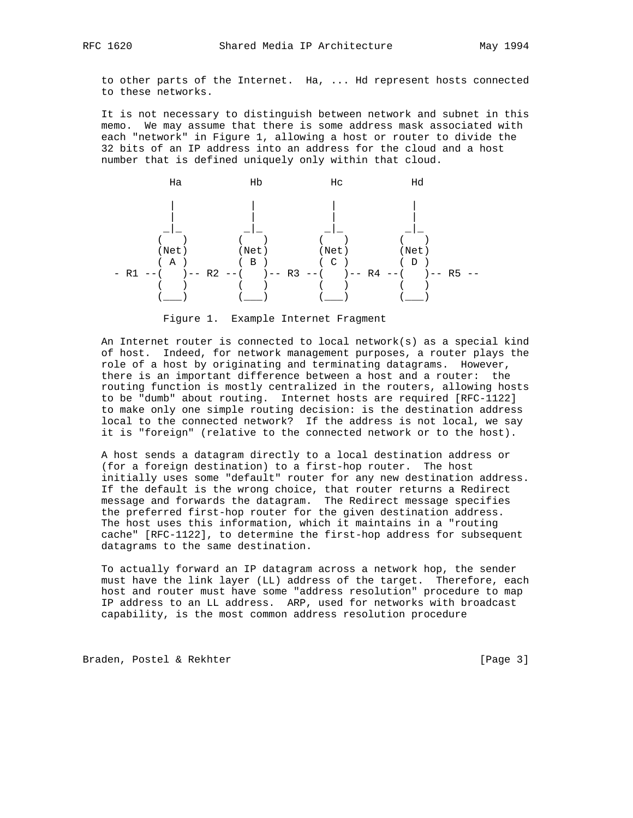to other parts of the Internet. Ha, ... Hd represent hosts connected to these networks.

 It is not necessary to distinguish between network and subnet in this memo. We may assume that there is some address mask associated with each "network" in Figure 1, allowing a host or router to divide the 32 bits of an IP address into an address for the cloud and a host number that is defined uniquely only within that cloud.



Figure 1. Example Internet Fragment

 An Internet router is connected to local network(s) as a special kind of host. Indeed, for network management purposes, a router plays the role of a host by originating and terminating datagrams. However, there is an important difference between a host and a router: the routing function is mostly centralized in the routers, allowing hosts to be "dumb" about routing. Internet hosts are required [RFC-1122] to make only one simple routing decision: is the destination address local to the connected network? If the address is not local, we say it is "foreign" (relative to the connected network or to the host).

 A host sends a datagram directly to a local destination address or (for a foreign destination) to a first-hop router. The host initially uses some "default" router for any new destination address. If the default is the wrong choice, that router returns a Redirect message and forwards the datagram. The Redirect message specifies the preferred first-hop router for the given destination address. The host uses this information, which it maintains in a "routing cache" [RFC-1122], to determine the first-hop address for subsequent datagrams to the same destination.

 To actually forward an IP datagram across a network hop, the sender must have the link layer (LL) address of the target. Therefore, each host and router must have some "address resolution" procedure to map IP address to an LL address. ARP, used for networks with broadcast capability, is the most common address resolution procedure

Braden, Postel & Rekhter [Page 3]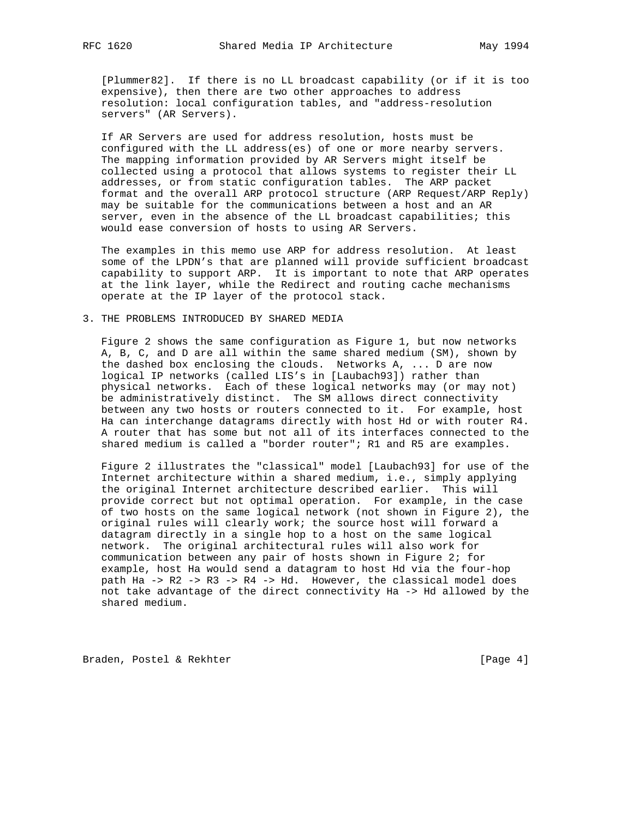[Plummer82]. If there is no LL broadcast capability (or if it is too expensive), then there are two other approaches to address resolution: local configuration tables, and "address-resolution servers" (AR Servers).

 If AR Servers are used for address resolution, hosts must be configured with the LL address(es) of one or more nearby servers. The mapping information provided by AR Servers might itself be collected using a protocol that allows systems to register their LL addresses, or from static configuration tables. The ARP packet format and the overall ARP protocol structure (ARP Request/ARP Reply) may be suitable for the communications between a host and an AR server, even in the absence of the LL broadcast capabilities; this would ease conversion of hosts to using AR Servers.

 The examples in this memo use ARP for address resolution. At least some of the LPDN's that are planned will provide sufficient broadcast capability to support ARP. It is important to note that ARP operates at the link layer, while the Redirect and routing cache mechanisms operate at the IP layer of the protocol stack.

### 3. THE PROBLEMS INTRODUCED BY SHARED MEDIA

 Figure 2 shows the same configuration as Figure 1, but now networks A, B, C, and D are all within the same shared medium (SM), shown by the dashed box enclosing the clouds. Networks A, ... D are now logical IP networks (called LIS's in [Laubach93]) rather than physical networks. Each of these logical networks may (or may not) be administratively distinct. The SM allows direct connectivity between any two hosts or routers connected to it. For example, host Ha can interchange datagrams directly with host Hd or with router R4. A router that has some but not all of its interfaces connected to the shared medium is called a "border router"; R1 and R5 are examples.

 Figure 2 illustrates the "classical" model [Laubach93] for use of the Internet architecture within a shared medium, i.e., simply applying the original Internet architecture described earlier. This will provide correct but not optimal operation. For example, in the case of two hosts on the same logical network (not shown in Figure 2), the original rules will clearly work; the source host will forward a datagram directly in a single hop to a host on the same logical network. The original architectural rules will also work for communication between any pair of hosts shown in Figure 2; for example, host Ha would send a datagram to host Hd via the four-hop path Ha -> R2 -> R3 -> R4 -> Hd. However, the classical model does not take advantage of the direct connectivity Ha -> Hd allowed by the shared medium.

Braden, Postel & Rekhter [Page 4]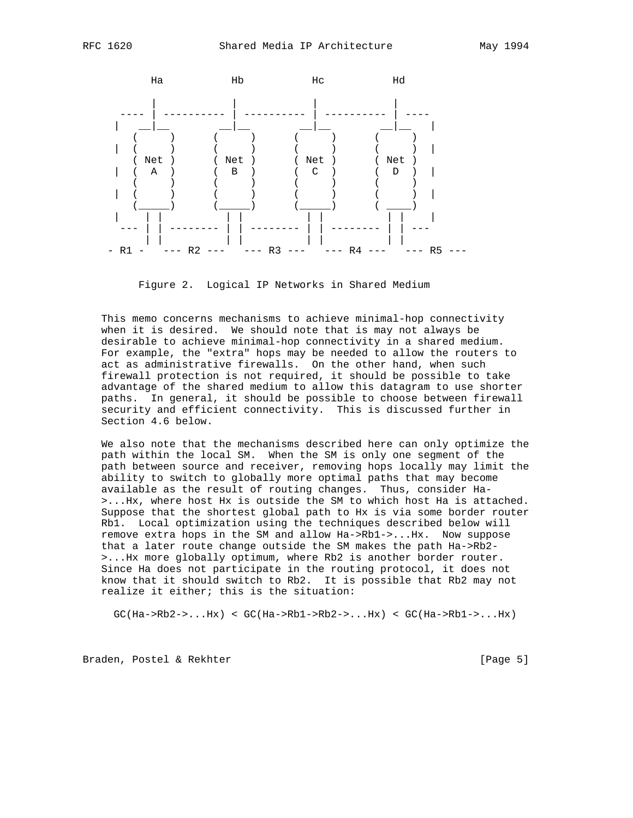

Figure 2. Logical IP Networks in Shared Medium

 This memo concerns mechanisms to achieve minimal-hop connectivity when it is desired. We should note that is may not always be desirable to achieve minimal-hop connectivity in a shared medium. For example, the "extra" hops may be needed to allow the routers to act as administrative firewalls. On the other hand, when such firewall protection is not required, it should be possible to take advantage of the shared medium to allow this datagram to use shorter paths. In general, it should be possible to choose between firewall security and efficient connectivity. This is discussed further in Section 4.6 below.

 We also note that the mechanisms described here can only optimize the path within the local SM. When the SM is only one segment of the path between source and receiver, removing hops locally may limit the ability to switch to globally more optimal paths that may become available as the result of routing changes. Thus, consider Ha- >...Hx, where host Hx is outside the SM to which host Ha is attached. Suppose that the shortest global path to Hx is via some border router Rb1. Local optimization using the techniques described below will remove extra hops in the SM and allow Ha->Rb1->...Hx. Now suppose that a later route change outside the SM makes the path Ha->Rb2- >...Hx more globally optimum, where Rb2 is another border router. Since Ha does not participate in the routing protocol, it does not know that it should switch to Rb2. It is possible that Rb2 may not realize it either; this is the situation:

 $GC(Ha->Rb2->...Hx) < GC(Ha->Rb1->Rb2->...Hx) < GC(Ha->Rb1->...Hx)$ 

Braden, Postel & Rekhter [Page 5]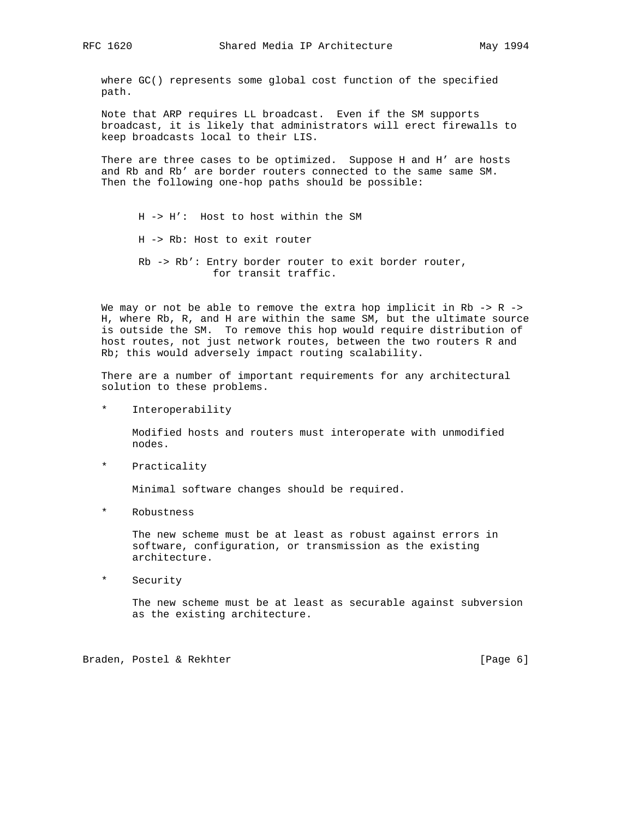where GC() represents some global cost function of the specified path.

 Note that ARP requires LL broadcast. Even if the SM supports broadcast, it is likely that administrators will erect firewalls to keep broadcasts local to their LIS.

There are three cases to be optimized. Suppose H and H' are hosts and Rb and Rb' are border routers connected to the same same SM. Then the following one-hop paths should be possible:

 H -> H': Host to host within the SM H -> Rb: Host to exit router Rb -> Rb': Entry border router to exit border router, for transit traffic.

We may or not be able to remove the extra hop implicit in  $Rb \rightarrow R \rightarrow$  H, where Rb, R, and H are within the same SM, but the ultimate source is outside the SM. To remove this hop would require distribution of host routes, not just network routes, between the two routers R and Rb; this would adversely impact routing scalability.

 There are a number of important requirements for any architectural solution to these problems.

\* Interoperability

 Modified hosts and routers must interoperate with unmodified nodes.

\* Practicality

Minimal software changes should be required.

\* Robustness

 The new scheme must be at least as robust against errors in software, configuration, or transmission as the existing architecture.

\* Security

 The new scheme must be at least as securable against subversion as the existing architecture.

Braden, Postel & Rekhter (Page 6)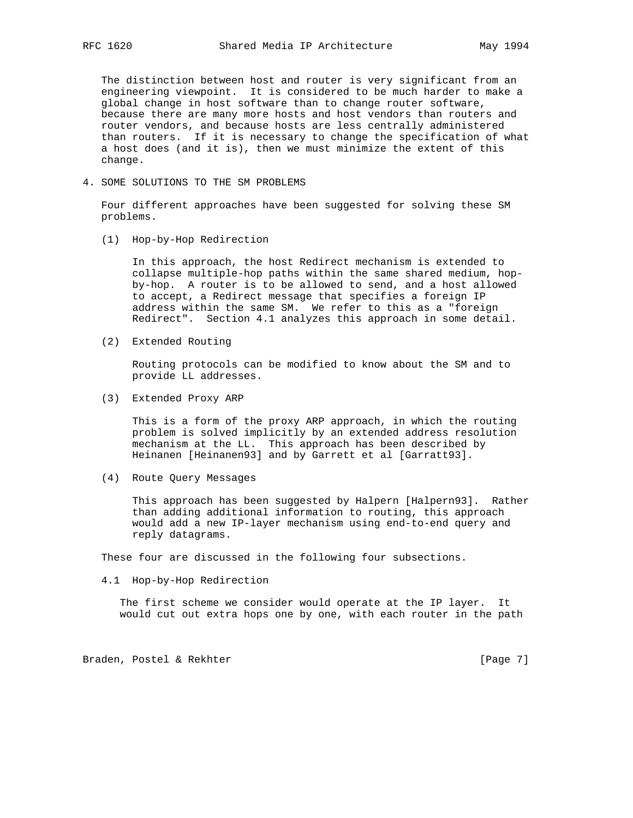The distinction between host and router is very significant from an engineering viewpoint. It is considered to be much harder to make a global change in host software than to change router software, because there are many more hosts and host vendors than routers and router vendors, and because hosts are less centrally administered than routers. If it is necessary to change the specification of what a host does (and it is), then we must minimize the extent of this change.

4. SOME SOLUTIONS TO THE SM PROBLEMS

 Four different approaches have been suggested for solving these SM problems.

(1) Hop-by-Hop Redirection

 In this approach, the host Redirect mechanism is extended to collapse multiple-hop paths within the same shared medium, hop by-hop. A router is to be allowed to send, and a host allowed to accept, a Redirect message that specifies a foreign IP address within the same SM. We refer to this as a "foreign Redirect". Section 4.1 analyzes this approach in some detail.

(2) Extended Routing

 Routing protocols can be modified to know about the SM and to provide LL addresses.

(3) Extended Proxy ARP

 This is a form of the proxy ARP approach, in which the routing problem is solved implicitly by an extended address resolution mechanism at the LL. This approach has been described by Heinanen [Heinanen93] and by Garrett et al [Garratt93].

(4) Route Query Messages

 This approach has been suggested by Halpern [Halpern93]. Rather than adding additional information to routing, this approach would add a new IP-layer mechanism using end-to-end query and reply datagrams.

These four are discussed in the following four subsections.

4.1 Hop-by-Hop Redirection

 The first scheme we consider would operate at the IP layer. It would cut out extra hops one by one, with each router in the path

Braden, Postel & Rekhter [Page 7]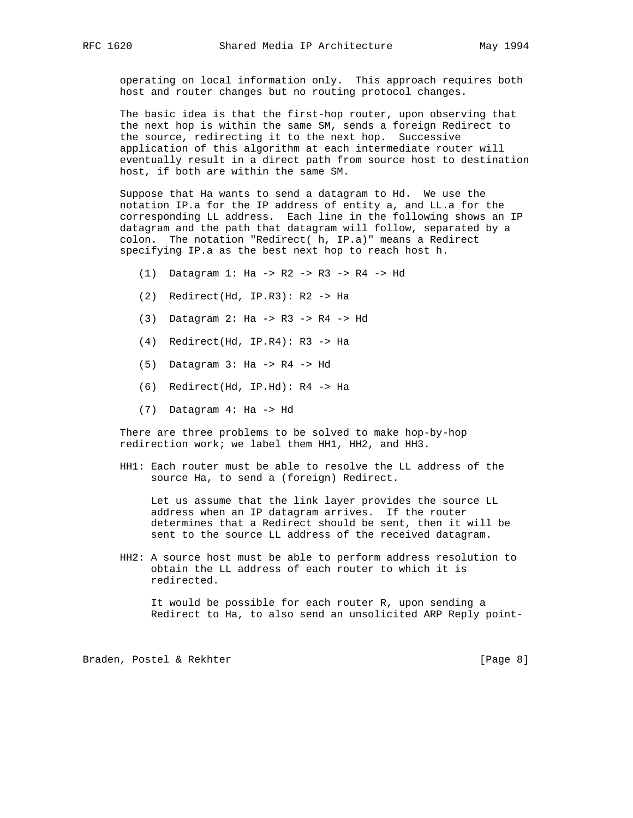operating on local information only. This approach requires both host and router changes but no routing protocol changes.

 The basic idea is that the first-hop router, upon observing that the next hop is within the same SM, sends a foreign Redirect to the source, redirecting it to the next hop. Successive application of this algorithm at each intermediate router will eventually result in a direct path from source host to destination host, if both are within the same SM.

 Suppose that Ha wants to send a datagram to Hd. We use the notation IP.a for the IP address of entity a, and LL.a for the corresponding LL address. Each line in the following shows an IP datagram and the path that datagram will follow, separated by a colon. The notation "Redirect( h, IP.a)" means a Redirect specifying IP.a as the best next hop to reach host h.

- (1) Datagram 1: Ha -> R2 -> R3 -> R4 -> Hd
- (2) Redirect(Hd, IP.R3): R2 -> Ha
- (3) Datagram 2: Ha -> R3 -> R4 -> Hd
- (4) Redirect(Hd, IP.R4): R3 -> Ha
- (5) Datagram 3: Ha -> R4 -> Hd
- (6) Redirect(Hd, IP.Hd): R4 -> Ha
- (7) Datagram 4: Ha -> Hd

 There are three problems to be solved to make hop-by-hop redirection work; we label them HH1, HH2, and HH3.

 HH1: Each router must be able to resolve the LL address of the source Ha, to send a (foreign) Redirect.

 Let us assume that the link layer provides the source LL address when an IP datagram arrives. If the router determines that a Redirect should be sent, then it will be sent to the source LL address of the received datagram.

 HH2: A source host must be able to perform address resolution to obtain the LL address of each router to which it is redirected.

 It would be possible for each router R, upon sending a Redirect to Ha, to also send an unsolicited ARP Reply point-

Braden, Postel & Rekhter (Page 8)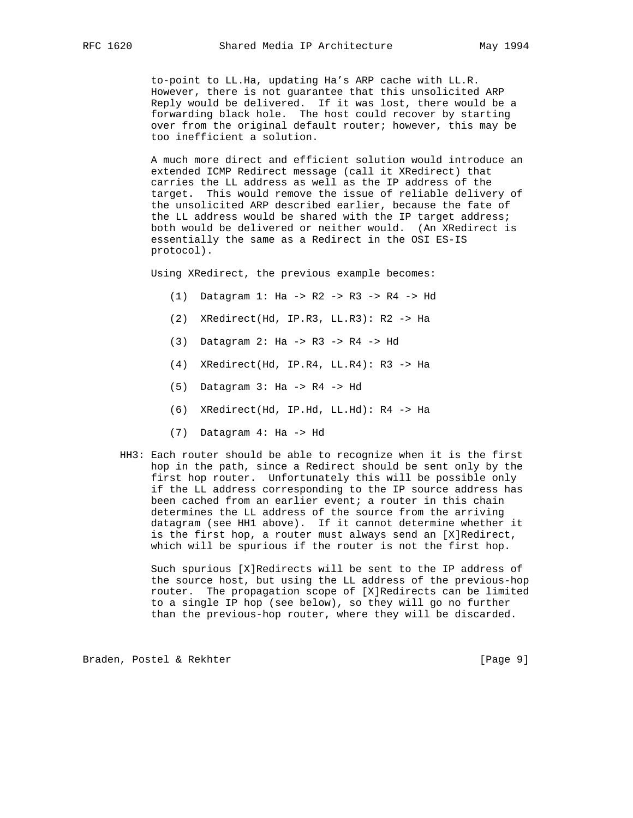to-point to LL.Ha, updating Ha's ARP cache with LL.R. However, there is not guarantee that this unsolicited ARP Reply would be delivered. If it was lost, there would be a forwarding black hole. The host could recover by starting over from the original default router; however, this may be too inefficient a solution.

 A much more direct and efficient solution would introduce an extended ICMP Redirect message (call it XRedirect) that carries the LL address as well as the IP address of the target. This would remove the issue of reliable delivery of the unsolicited ARP described earlier, because the fate of the LL address would be shared with the IP target address; both would be delivered or neither would. (An XRedirect is essentially the same as a Redirect in the OSI ES-IS protocol).

Using XRedirect, the previous example becomes:

- (1) Datagram 1: Ha -> R2 -> R3 -> R4 -> Hd
- (2) XRedirect(Hd, IP.R3, LL.R3): R2 -> Ha
- (3) Datagram 2: Ha -> R3 -> R4 -> Hd
- (4) XRedirect(Hd, IP.R4, LL.R4): R3 -> Ha
- (5) Datagram 3: Ha -> R4 -> Hd
- (6) XRedirect(Hd, IP.Hd, LL.Hd): R4 -> Ha
- (7) Datagram 4: Ha -> Hd
- HH3: Each router should be able to recognize when it is the first hop in the path, since a Redirect should be sent only by the first hop router. Unfortunately this will be possible only if the LL address corresponding to the IP source address has been cached from an earlier event; a router in this chain determines the LL address of the source from the arriving datagram (see HH1 above). If it cannot determine whether it is the first hop, a router must always send an [X]Redirect, which will be spurious if the router is not the first hop.

 Such spurious [X]Redirects will be sent to the IP address of the source host, but using the LL address of the previous-hop router. The propagation scope of [X]Redirects can be limited to a single IP hop (see below), so they will go no further than the previous-hop router, where they will be discarded.

Braden, Postel & Rekhter (Page 9)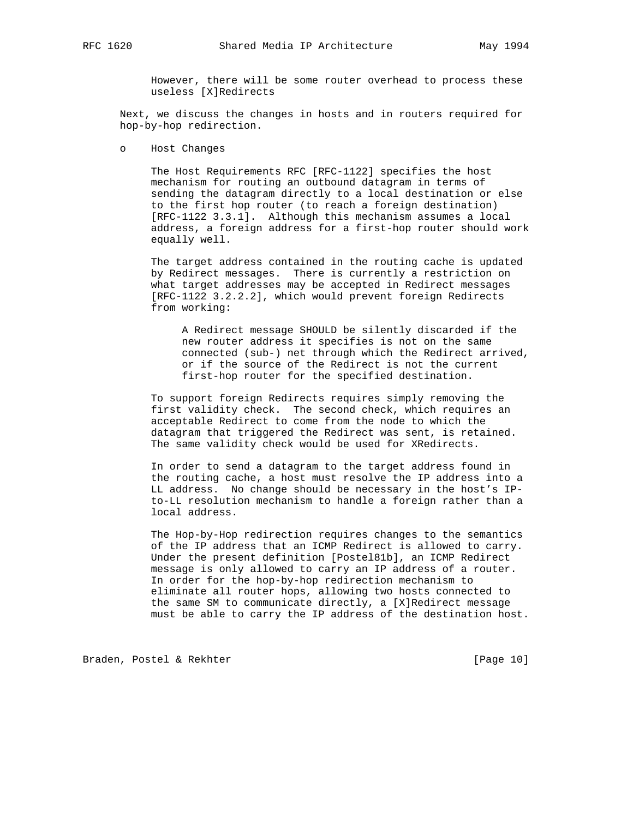However, there will be some router overhead to process these useless [X]Redirects

 Next, we discuss the changes in hosts and in routers required for hop-by-hop redirection.

o Host Changes

 The Host Requirements RFC [RFC-1122] specifies the host mechanism for routing an outbound datagram in terms of sending the datagram directly to a local destination or else to the first hop router (to reach a foreign destination) [RFC-1122 3.3.1]. Although this mechanism assumes a local address, a foreign address for a first-hop router should work equally well.

 The target address contained in the routing cache is updated by Redirect messages. There is currently a restriction on what target addresses may be accepted in Redirect messages [RFC-1122 3.2.2.2], which would prevent foreign Redirects from working:

 A Redirect message SHOULD be silently discarded if the new router address it specifies is not on the same connected (sub-) net through which the Redirect arrived, or if the source of the Redirect is not the current first-hop router for the specified destination.

 To support foreign Redirects requires simply removing the first validity check. The second check, which requires an acceptable Redirect to come from the node to which the datagram that triggered the Redirect was sent, is retained. The same validity check would be used for XRedirects.

 In order to send a datagram to the target address found in the routing cache, a host must resolve the IP address into a LL address. No change should be necessary in the host's IP to-LL resolution mechanism to handle a foreign rather than a local address.

 The Hop-by-Hop redirection requires changes to the semantics of the IP address that an ICMP Redirect is allowed to carry. Under the present definition [Postel81b], an ICMP Redirect message is only allowed to carry an IP address of a router. In order for the hop-by-hop redirection mechanism to eliminate all router hops, allowing two hosts connected to the same SM to communicate directly, a [X]Redirect message must be able to carry the IP address of the destination host.

Braden, Postel & Rekhter [Page 10]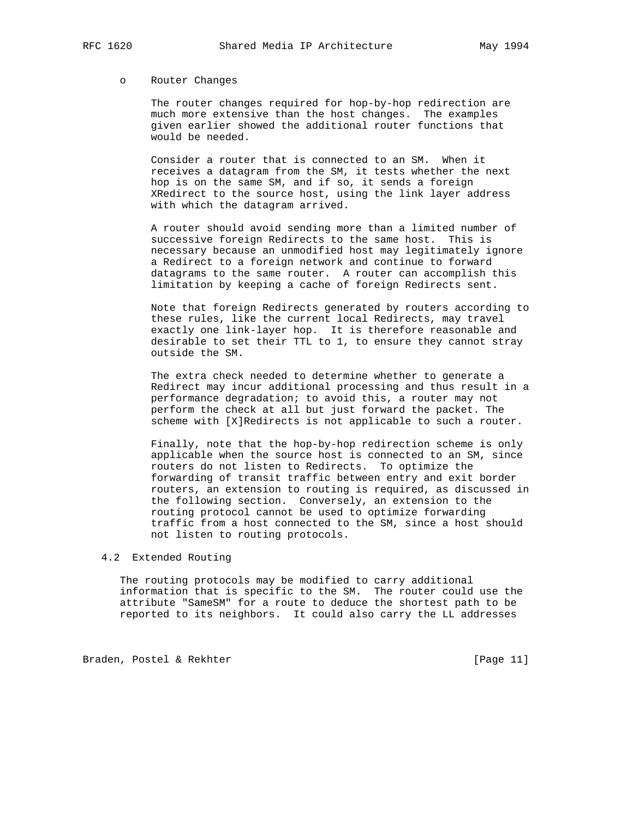#### o Router Changes

 The router changes required for hop-by-hop redirection are much more extensive than the host changes. The examples given earlier showed the additional router functions that would be needed.

 Consider a router that is connected to an SM. When it receives a datagram from the SM, it tests whether the next hop is on the same SM, and if so, it sends a foreign XRedirect to the source host, using the link layer address with which the datagram arrived.

 A router should avoid sending more than a limited number of successive foreign Redirects to the same host. This is necessary because an unmodified host may legitimately ignore a Redirect to a foreign network and continue to forward datagrams to the same router. A router can accomplish this limitation by keeping a cache of foreign Redirects sent.

 Note that foreign Redirects generated by routers according to these rules, like the current local Redirects, may travel exactly one link-layer hop. It is therefore reasonable and desirable to set their TTL to 1, to ensure they cannot stray outside the SM.

 The extra check needed to determine whether to generate a Redirect may incur additional processing and thus result in a performance degradation; to avoid this, a router may not perform the check at all but just forward the packet. The scheme with [X]Redirects is not applicable to such a router.

 Finally, note that the hop-by-hop redirection scheme is only applicable when the source host is connected to an SM, since routers do not listen to Redirects. To optimize the forwarding of transit traffic between entry and exit border routers, an extension to routing is required, as discussed in the following section. Conversely, an extension to the routing protocol cannot be used to optimize forwarding traffic from a host connected to the SM, since a host should not listen to routing protocols.

### 4.2 Extended Routing

 The routing protocols may be modified to carry additional information that is specific to the SM. The router could use the attribute "SameSM" for a route to deduce the shortest path to be reported to its neighbors. It could also carry the LL addresses

Braden, Postel & Rekhter [Page 11]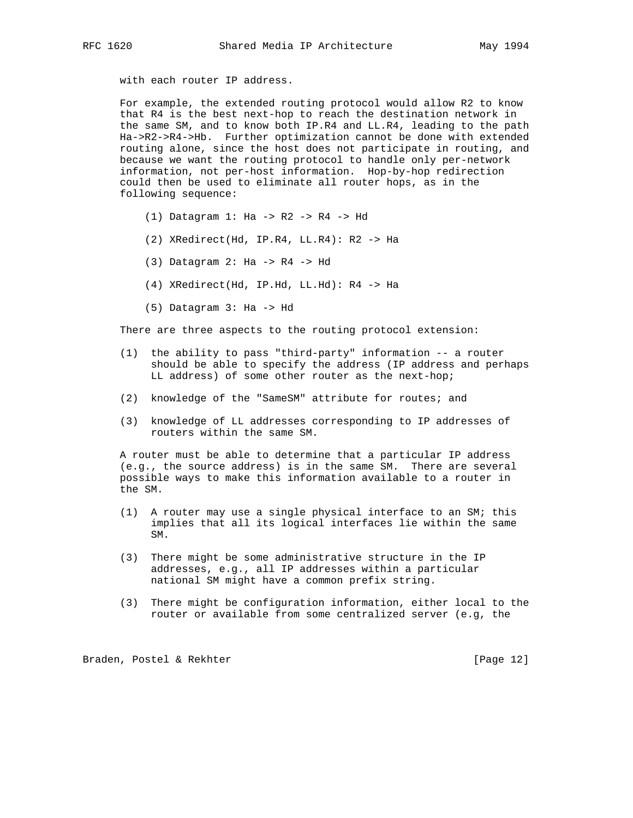with each router IP address.

 For example, the extended routing protocol would allow R2 to know that R4 is the best next-hop to reach the destination network in the same SM, and to know both IP.R4 and LL.R4, leading to the path Ha->R2->R4->Hb. Further optimization cannot be done with extended routing alone, since the host does not participate in routing, and because we want the routing protocol to handle only per-network information, not per-host information. Hop-by-hop redirection could then be used to eliminate all router hops, as in the following sequence:

- (1) Datagram 1: Ha -> R2 -> R4 -> Hd
- (2) XRedirect(Hd, IP.R4, LL.R4): R2 -> Ha
- (3) Datagram 2: Ha -> R4 -> Hd
- (4) XRedirect(Hd, IP.Hd, LL.Hd): R4 -> Ha
- (5) Datagram 3: Ha -> Hd

There are three aspects to the routing protocol extension:

- (1) the ability to pass "third-party" information -- a router should be able to specify the address (IP address and perhaps LL address) of some other router as the next-hop;
- (2) knowledge of the "SameSM" attribute for routes; and
- (3) knowledge of LL addresses corresponding to IP addresses of routers within the same SM.

 A router must be able to determine that a particular IP address (e.g., the source address) is in the same SM. There are several possible ways to make this information available to a router in the SM.

- (1) A router may use a single physical interface to an SM; this implies that all its logical interfaces lie within the same SM.
- (3) There might be some administrative structure in the IP addresses, e.g., all IP addresses within a particular national SM might have a common prefix string.
- (3) There might be configuration information, either local to the router or available from some centralized server (e.g, the

Braden, Postel & Rekhter [Page 12]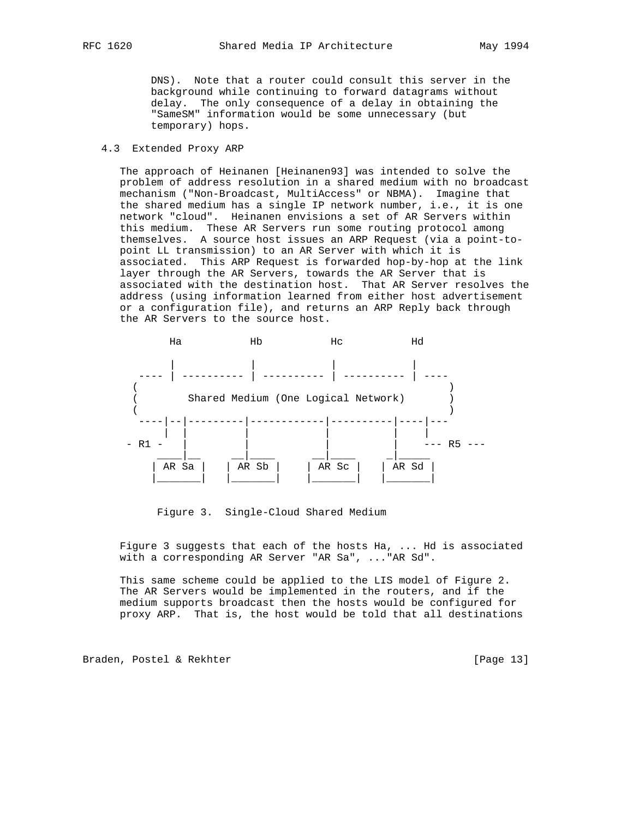DNS). Note that a router could consult this server in the background while continuing to forward datagrams without delay. The only consequence of a delay in obtaining the "SameSM" information would be some unnecessary (but temporary) hops.

### 4.3 Extended Proxy ARP

 The approach of Heinanen [Heinanen93] was intended to solve the problem of address resolution in a shared medium with no broadcast mechanism ("Non-Broadcast, MultiAccess" or NBMA). Imagine that the shared medium has a single IP network number, i.e., it is one network "cloud". Heinanen envisions a set of AR Servers within this medium. These AR Servers run some routing protocol among themselves. A source host issues an ARP Request (via a point-to point LL transmission) to an AR Server with which it is associated. This ARP Request is forwarded hop-by-hop at the link layer through the AR Servers, towards the AR Server that is associated with the destination host. That AR Server resolves the address (using information learned from either host advertisement or a configuration file), and returns an ARP Reply back through the AR Servers to the source host.



Figure 3. Single-Cloud Shared Medium

 Figure 3 suggests that each of the hosts Ha, ... Hd is associated with a corresponding AR Server "AR Sa", ..."AR Sd".

 This same scheme could be applied to the LIS model of Figure 2. The AR Servers would be implemented in the routers, and if the medium supports broadcast then the hosts would be configured for proxy ARP. That is, the host would be told that all destinations

Braden, Postel & Rekhter [Page 13]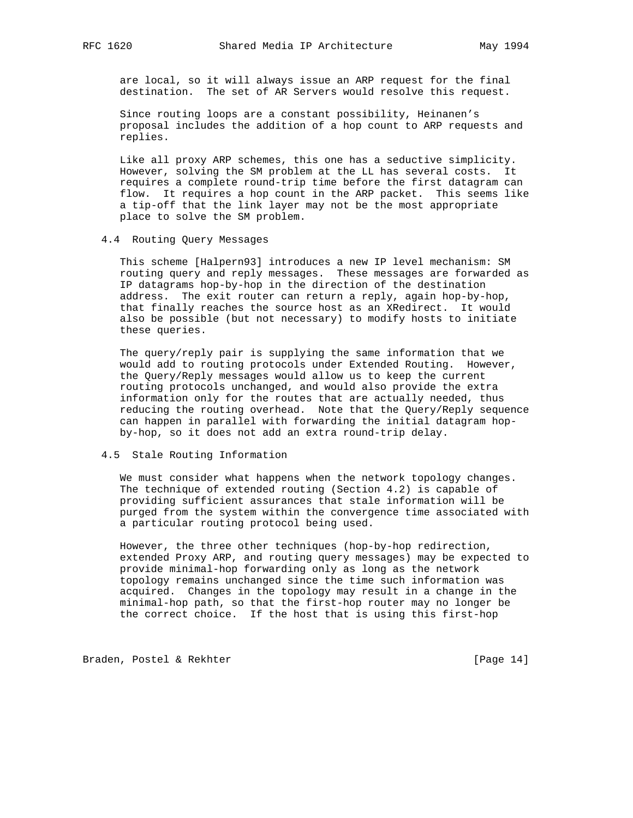are local, so it will always issue an ARP request for the final destination. The set of AR Servers would resolve this request.

 Since routing loops are a constant possibility, Heinanen's proposal includes the addition of a hop count to ARP requests and replies.

 Like all proxy ARP schemes, this one has a seductive simplicity. However, solving the SM problem at the LL has several costs. It requires a complete round-trip time before the first datagram can flow. It requires a hop count in the ARP packet. This seems like a tip-off that the link layer may not be the most appropriate place to solve the SM problem.

### 4.4 Routing Query Messages

 This scheme [Halpern93] introduces a new IP level mechanism: SM routing query and reply messages. These messages are forwarded as IP datagrams hop-by-hop in the direction of the destination address. The exit router can return a reply, again hop-by-hop, that finally reaches the source host as an XRedirect. It would also be possible (but not necessary) to modify hosts to initiate these queries.

 The query/reply pair is supplying the same information that we would add to routing protocols under Extended Routing. However, the Query/Reply messages would allow us to keep the current routing protocols unchanged, and would also provide the extra information only for the routes that are actually needed, thus reducing the routing overhead. Note that the Query/Reply sequence can happen in parallel with forwarding the initial datagram hop by-hop, so it does not add an extra round-trip delay.

### 4.5 Stale Routing Information

 We must consider what happens when the network topology changes. The technique of extended routing (Section 4.2) is capable of providing sufficient assurances that stale information will be purged from the system within the convergence time associated with a particular routing protocol being used.

 However, the three other techniques (hop-by-hop redirection, extended Proxy ARP, and routing query messages) may be expected to provide minimal-hop forwarding only as long as the network topology remains unchanged since the time such information was acquired. Changes in the topology may result in a change in the minimal-hop path, so that the first-hop router may no longer be the correct choice. If the host that is using this first-hop

Braden, Postel & Rekhter [Page 14]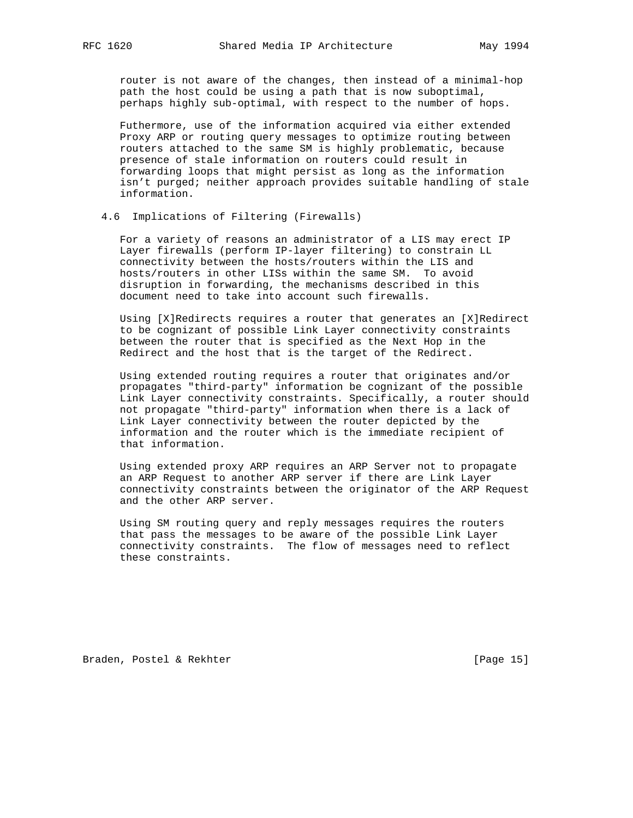router is not aware of the changes, then instead of a minimal-hop path the host could be using a path that is now suboptimal, perhaps highly sub-optimal, with respect to the number of hops.

 Futhermore, use of the information acquired via either extended Proxy ARP or routing query messages to optimize routing between routers attached to the same SM is highly problematic, because presence of stale information on routers could result in forwarding loops that might persist as long as the information isn't purged; neither approach provides suitable handling of stale information.

## 4.6 Implications of Filtering (Firewalls)

 For a variety of reasons an administrator of a LIS may erect IP Layer firewalls (perform IP-layer filtering) to constrain LL connectivity between the hosts/routers within the LIS and hosts/routers in other LISs within the same SM. To avoid disruption in forwarding, the mechanisms described in this document need to take into account such firewalls.

 Using [X]Redirects requires a router that generates an [X]Redirect to be cognizant of possible Link Layer connectivity constraints between the router that is specified as the Next Hop in the Redirect and the host that is the target of the Redirect.

 Using extended routing requires a router that originates and/or propagates "third-party" information be cognizant of the possible Link Layer connectivity constraints. Specifically, a router should not propagate "third-party" information when there is a lack of Link Layer connectivity between the router depicted by the information and the router which is the immediate recipient of that information.

 Using extended proxy ARP requires an ARP Server not to propagate an ARP Request to another ARP server if there are Link Layer connectivity constraints between the originator of the ARP Request and the other ARP server.

 Using SM routing query and reply messages requires the routers that pass the messages to be aware of the possible Link Layer connectivity constraints. The flow of messages need to reflect these constraints.

Braden, Postel & Rekhter [Page 15]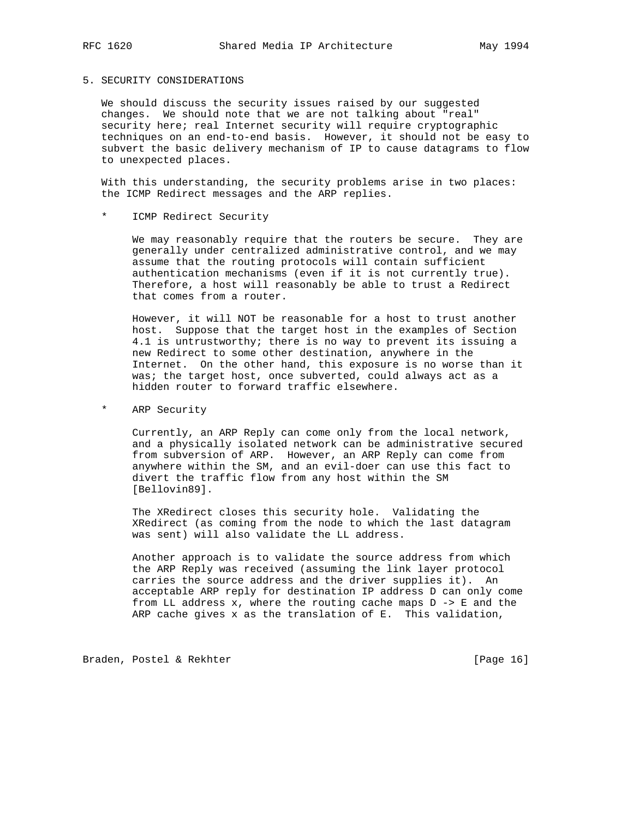### 5. SECURITY CONSIDERATIONS

 We should discuss the security issues raised by our suggested changes. We should note that we are not talking about "real" security here; real Internet security will require cryptographic techniques on an end-to-end basis. However, it should not be easy to subvert the basic delivery mechanism of IP to cause datagrams to flow to unexpected places.

With this understanding, the security problems arise in two places: the ICMP Redirect messages and the ARP replies.

ICMP Redirect Security

We may reasonably require that the routers be secure. They are generally under centralized administrative control, and we may assume that the routing protocols will contain sufficient authentication mechanisms (even if it is not currently true). Therefore, a host will reasonably be able to trust a Redirect that comes from a router.

 However, it will NOT be reasonable for a host to trust another host. Suppose that the target host in the examples of Section 4.1 is untrustworthy; there is no way to prevent its issuing a new Redirect to some other destination, anywhere in the Internet. On the other hand, this exposure is no worse than it was; the target host, once subverted, could always act as a hidden router to forward traffic elsewhere.

\* ARP Security

 Currently, an ARP Reply can come only from the local network, and a physically isolated network can be administrative secured from subversion of ARP. However, an ARP Reply can come from anywhere within the SM, and an evil-doer can use this fact to divert the traffic flow from any host within the SM [Bellovin89].

 The XRedirect closes this security hole. Validating the XRedirect (as coming from the node to which the last datagram was sent) will also validate the LL address.

 Another approach is to validate the source address from which the ARP Reply was received (assuming the link layer protocol carries the source address and the driver supplies it). An acceptable ARP reply for destination IP address D can only come from LL address  $x$ , where the routing cache maps  $D \rightarrow E$  and the ARP cache gives x as the translation of E. This validation,

Braden, Postel & Rekhter [Page 16]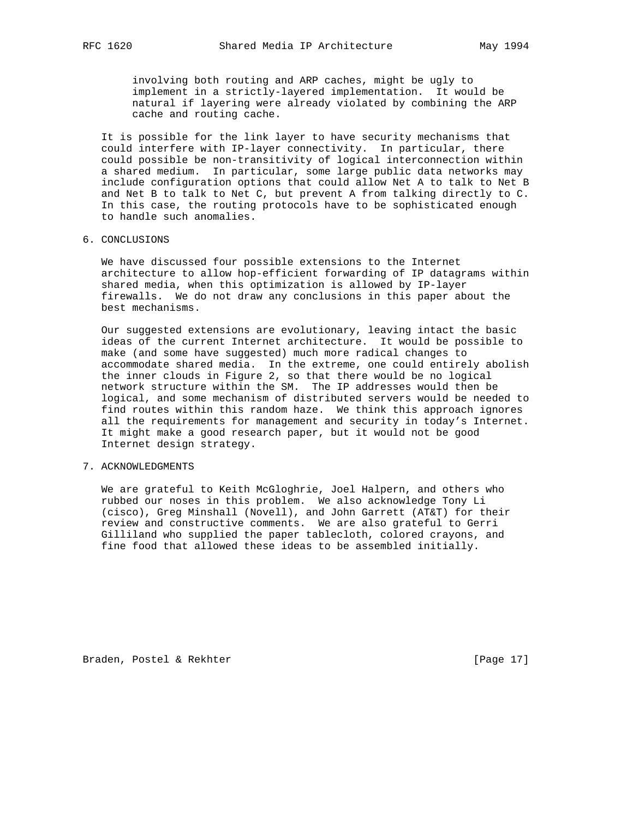involving both routing and ARP caches, might be ugly to implement in a strictly-layered implementation. It would be natural if layering were already violated by combining the ARP cache and routing cache.

 It is possible for the link layer to have security mechanisms that could interfere with IP-layer connectivity. In particular, there could possible be non-transitivity of logical interconnection within a shared medium. In particular, some large public data networks may include configuration options that could allow Net A to talk to Net B and Net B to talk to Net C, but prevent A from talking directly to C. In this case, the routing protocols have to be sophisticated enough to handle such anomalies.

### 6. CONCLUSIONS

 We have discussed four possible extensions to the Internet architecture to allow hop-efficient forwarding of IP datagrams within shared media, when this optimization is allowed by IP-layer firewalls. We do not draw any conclusions in this paper about the best mechanisms.

 Our suggested extensions are evolutionary, leaving intact the basic ideas of the current Internet architecture. It would be possible to make (and some have suggested) much more radical changes to accommodate shared media. In the extreme, one could entirely abolish the inner clouds in Figure 2, so that there would be no logical network structure within the SM. The IP addresses would then be logical, and some mechanism of distributed servers would be needed to find routes within this random haze. We think this approach ignores all the requirements for management and security in today's Internet. It might make a good research paper, but it would not be good Internet design strategy.

# 7. ACKNOWLEDGMENTS

 We are grateful to Keith McGloghrie, Joel Halpern, and others who rubbed our noses in this problem. We also acknowledge Tony Li (cisco), Greg Minshall (Novell), and John Garrett (AT&T) for their review and constructive comments. We are also grateful to Gerri Gilliland who supplied the paper tablecloth, colored crayons, and fine food that allowed these ideas to be assembled initially.

Braden, Postel & Rekhter [Page 17]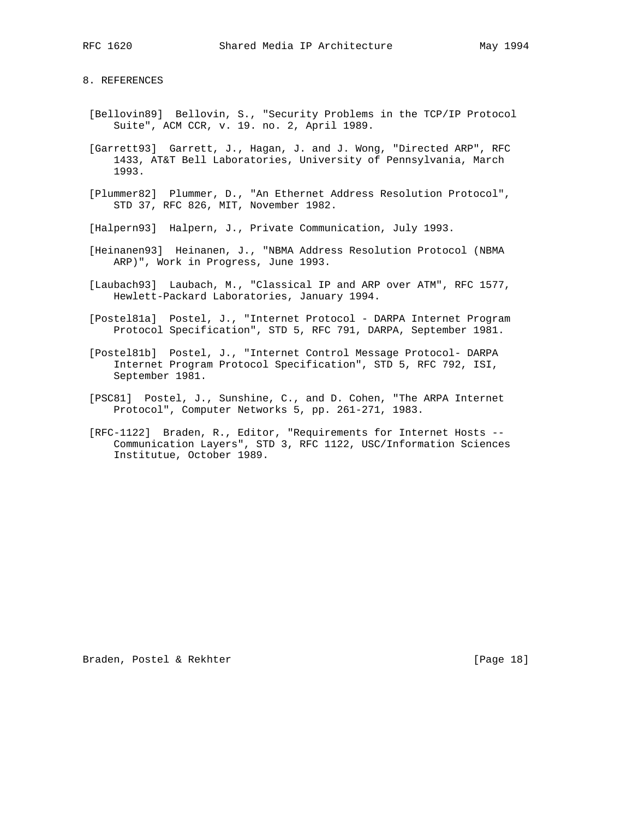8. REFERENCES

- [Bellovin89] Bellovin, S., "Security Problems in the TCP/IP Protocol Suite", ACM CCR, v. 19. no. 2, April 1989.
- [Garrett93] Garrett, J., Hagan, J. and J. Wong, "Directed ARP", RFC 1433, AT&T Bell Laboratories, University of Pennsylvania, March 1993.
- [Plummer82] Plummer, D., "An Ethernet Address Resolution Protocol", STD 37, RFC 826, MIT, November 1982.
- [Halpern93] Halpern, J., Private Communication, July 1993.
- [Heinanen93] Heinanen, J., "NBMA Address Resolution Protocol (NBMA ARP)", Work in Progress, June 1993.
- [Laubach93] Laubach, M., "Classical IP and ARP over ATM", RFC 1577, Hewlett-Packard Laboratories, January 1994.
- [Postel81a] Postel, J., "Internet Protocol DARPA Internet Program Protocol Specification", STD 5, RFC 791, DARPA, September 1981.
- [Postel81b] Postel, J., "Internet Control Message Protocol- DARPA Internet Program Protocol Specification", STD 5, RFC 792, ISI, September 1981.
- [PSC81] Postel, J., Sunshine, C., and D. Cohen, "The ARPA Internet Protocol", Computer Networks 5, pp. 261-271, 1983.
- [RFC-1122] Braden, R., Editor, "Requirements for Internet Hosts -- Communication Layers", STD 3, RFC 1122, USC/Information Sciences Institutue, October 1989.

Braden, Postel & Rekhter [Page 18]